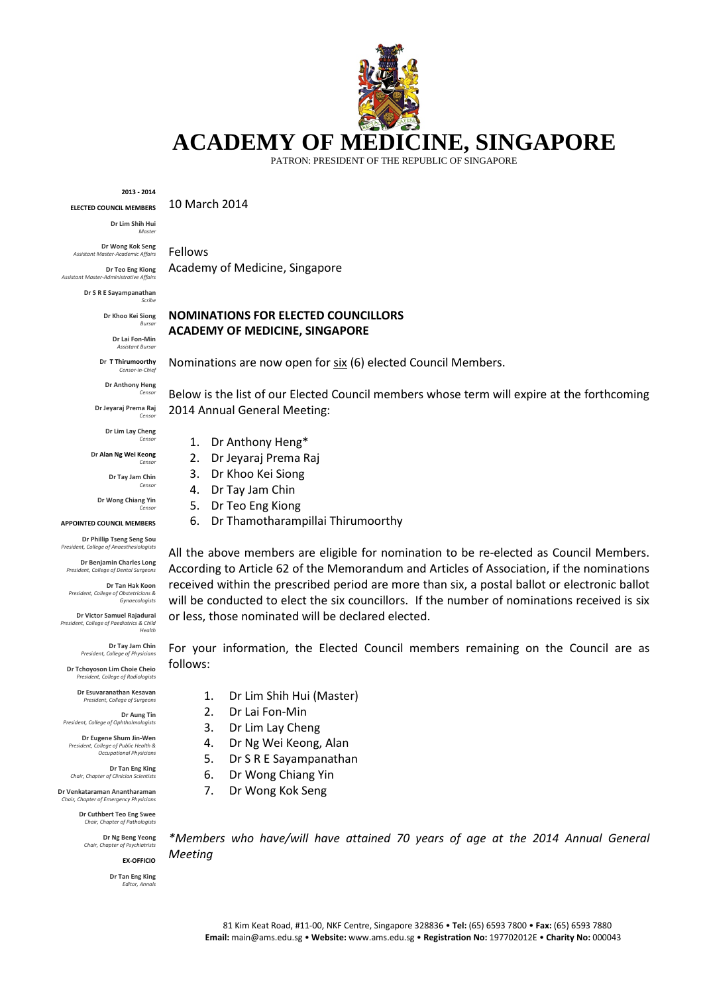# **ACADEMY OF MEDICINE, SINGAPORE**

PATRON: PRESIDENT OF THE REPUBLIC OF SINGAPORE

**2013 - 2014**

10 March 2014

Fellows

**Dr Lim Shih Hui** *Master*

**Dr Wong Kok Seng** *Assistant Master-Academic Affairs*

**ELECTED COUNCIL MEMBERS**

**Dr Teo Eng Kiong** *Assistant Master-Administrative Affairs*

> **Dr S R E Sayampanathan** *Scribe*

> > **Dr Khoo Kei Siong**

**Dr Lai Fon-Min** *Assistant Bursar*

*Bursar*

**Dr T Thirumoorthy** *Censor-in-Chief*

**Dr Anthony Heng** *Censor*

**Dr Jeyaraj Prema Raj** *Censor*

> **Dr Lim Lay Cheng** *Censor*

**Dr Alan Ng Wei Keong**

**Dr Tay Jam Chin**

*Censor*

*Censor*

*Censor*

**Dr Wong Chiang Yin**

#### **APPOINTED COUNCIL MEMBERS**

**Dr Phillip Tseng Seng Sou** *President, College of Anaesthesiologists*

**Dr Benjamin Charles Long** *President, College of Dental Surgeons* 

**Dr Tan Hak Koon**  $President, College of$ *Gynaecologists*

**Dr Victor Samuel Rajadurai** *President, College of Paediatrics & Child Health*

> **Dr Tay Jam Chin** *President, College of Physicians*

**Dr Tchoyoson Lim Choie Cheio** *President, College of Radiologists*

> **Dr Esuvaranathan Kesavan** *President, College of Surgeons*

**Dr Aung Tin** *President, College of Ophthalmologists*

**Dr Eugene Shum Jin-Wen** *President, College of Public Health & Occupational Physicians*

**Dr Tan Eng King** *Chair, Chapter of Clinician Scientists*

**Dr Venkataraman Anantharaman** *Chair, Chapter of Emergency Physicians*

> **Dr Cuthbert Teo Eng Swee** *Chair, Chapter of Pathologists*

**Dr Ng Beng Yeong** *Chair, Chapter of Psychiatrists*

**EX-OFFICIO**

**Dr Tan Eng King** *Editor, Annals*

Academy of Medicine, Singapore

## **NOMINATIONS FOR ELECTED COUNCILLORS ACADEMY OF MEDICINE, SINGAPORE**

Nominations are now open for six (6) elected Council Members.

Below is the list of our Elected Council members whose term will expire at the forthcoming 2014 Annual General Meeting:

- 1. Dr Anthony Heng\*
- 2. Dr Jeyaraj Prema Raj
- 3. Dr Khoo Kei Siong
- 4. Dr Tay Jam Chin
- 5. Dr Teo Eng Kiong
- 6. Dr Thamotharampillai Thirumoorthy

All the above members are eligible for nomination to be re-elected as Council Members. According to Article 62 of the Memorandum and Articles of Association, if the nominations received within the prescribed period are more than six, a postal ballot or electronic ballot will be conducted to elect the six councillors. If the number of nominations received is six or less, those nominated will be declared elected.

For your information, the Elected Council members remaining on the Council are as follows:

- 1. Dr Lim Shih Hui (Master)
- 2. Dr Lai Fon-Min
- 3. Dr Lim Lay Cheng
- 4. Dr Ng Wei Keong, Alan
- 5. Dr S R E Sayampanathan
- 6. Dr Wong Chiang Yin
- 7. Dr Wong Kok Seng

*\*Members who have/will have attained 70 years of age at the 2014 Annual General Meeting*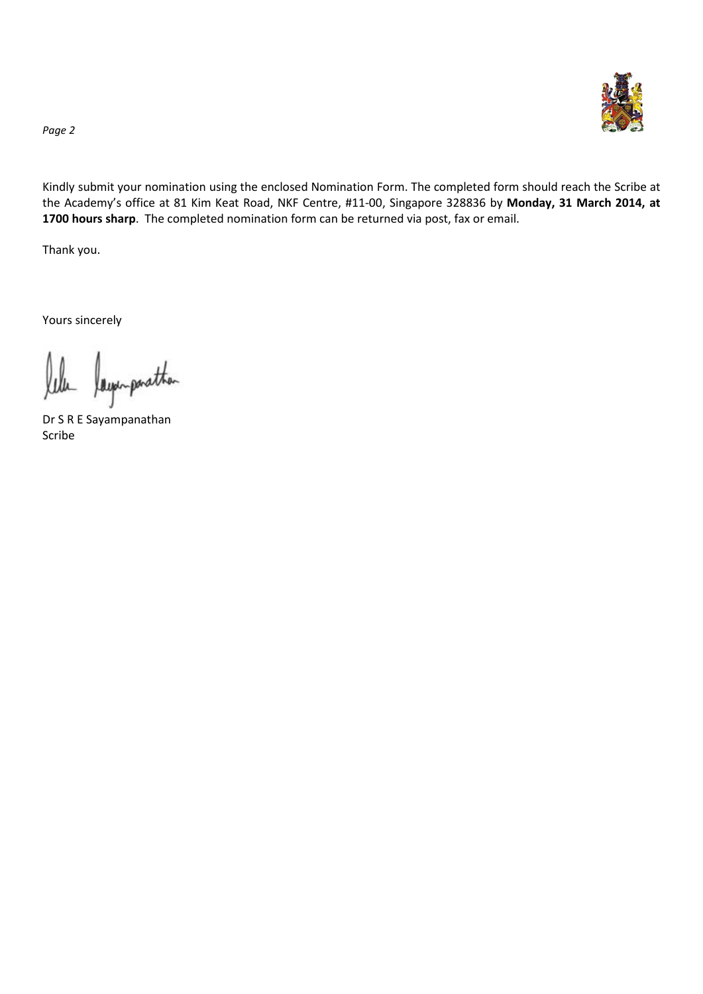

*Page 2*

Kindly submit your nomination using the enclosed Nomination Form. The completed form should reach the Scribe at the Academy's office at 81 Kim Keat Road, NKF Centre, #11-00, Singapore 328836 by **Monday, 31 March 2014, at 1700 hours sharp**. The completed nomination form can be returned via post, fax or email.

Thank you.

Yours sincerely

lela laga-parather

Dr S R E Sayampanathan Scribe